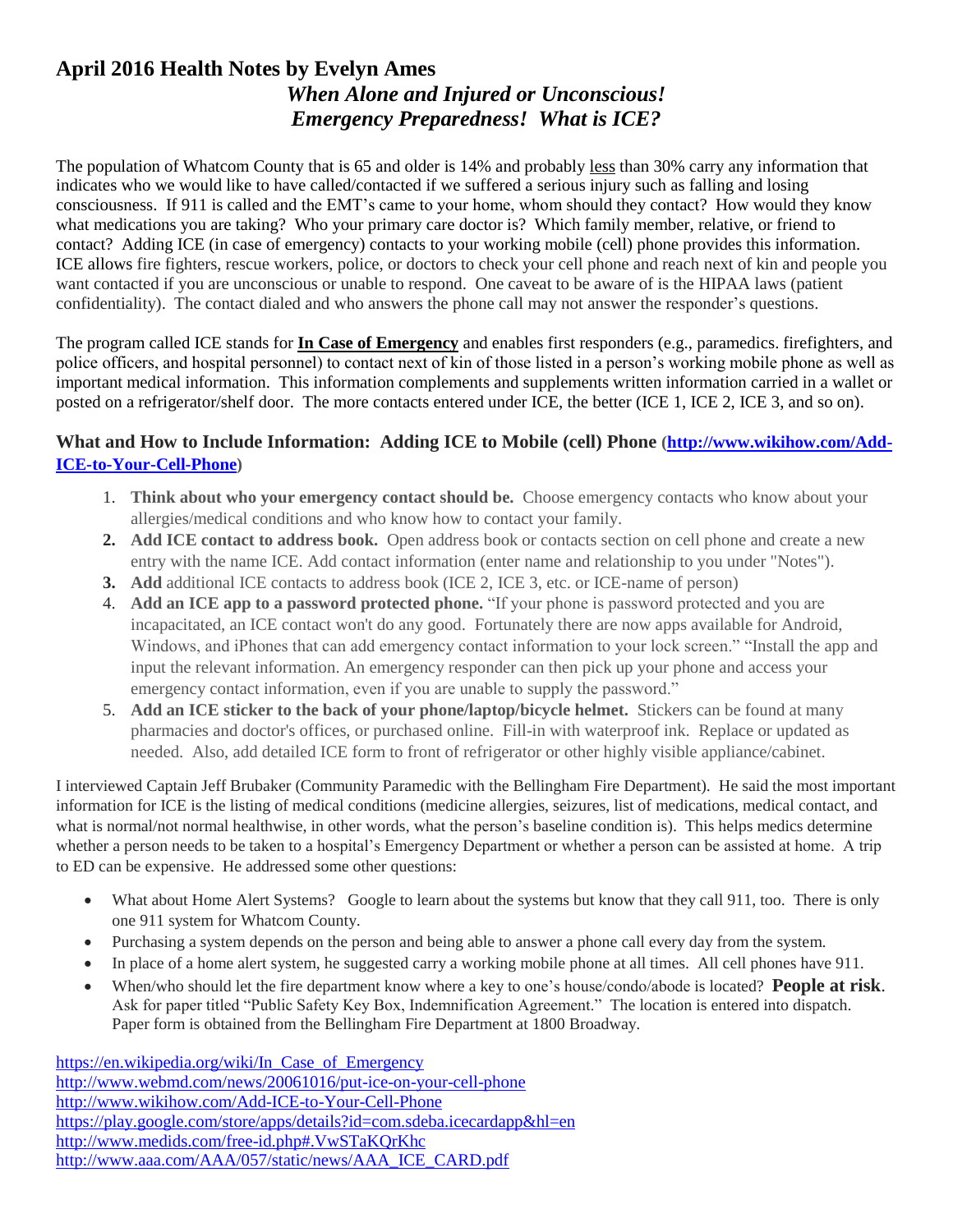## **April 2016 Health Notes by Evelyn Ames**  *When Alone and Injured or Unconscious! Emergency Preparedness! What is ICE?*

The population of Whatcom County that is 65 and older is 14% and probably less than 30% carry any information that indicates who we would like to have called/contacted if we suffered a serious injury such as falling and losing consciousness. If 911 is called and the EMT's came to your home, whom should they contact? How would they know what medications you are taking? Who your primary care doctor is? Which family member, relative, or friend to contact? Adding ICE (in case of emergency) contacts to your working mobile (cell) phone provides this information. ICE allows fire fighters, rescue workers, police, or doctors to check your cell phone and reach next of kin and people you want contacted if you are unconscious or unable to respond. One caveat to be aware of is the HIPAA laws (patient confidentiality). The contact dialed and who answers the phone call may not answer the responder's questions.

The program called ICE stands for **In Case of Emergency** and enables first responders (e.g., paramedics. firefighters, and police officers, and hospital personnel) to contact next of kin of those listed in a person's working mobile phone as well as important medical information. This information complements and supplements written information carried in a wallet or posted on a refrigerator/shelf door. The more contacts entered under ICE, the better (ICE 1, ICE 2, ICE 3, and so on).

## **What and How to Include Information: Adding ICE to Mobile (cell) Phone [\(http://www.wikihow.com/Add-](http://www.wikihow.com/Add-ICE-to-Your-Cell-Phone)[ICE-to-Your-Cell-Phone\)](http://www.wikihow.com/Add-ICE-to-Your-Cell-Phone)**

- 1. **Think about who your emergency contact should be.** Choose emergency contacts who know about your allergies/medical conditions and who know how to contact your family.
- **2. Add ICE contact to address book.** Open address book or contacts section on cell phone and create a new entry with the name ICE. Add contact information (enter name and relationship to you under "Notes").
- **3. Add** additional ICE contacts to address book (ICE 2, ICE 3, etc. or ICE-name of person)
- 4. **Add an ICE app to a password protected phone.** "If your phone is password protected and you are incapacitated, an ICE contact won't do any good. Fortunately there are now apps available for Android, Windows, and iPhones that can add emergency contact information to your lock screen." "Install the app and input the relevant information. An emergency responder can then pick up your phone and access your emergency contact information, even if you are unable to supply the password."
- 5. **Add an ICE sticker to the back of your phone/laptop/bicycle helmet.** Stickers can be found at many pharmacies and doctor's offices, or purchased online. Fill-in with waterproof ink. Replace or updated as needed. Also, add detailed ICE form to front of refrigerator or other highly visible appliance/cabinet.

I interviewed Captain Jeff Brubaker (Community Paramedic with the Bellingham Fire Department). He said the most important information for ICE is the listing of medical conditions (medicine allergies, seizures, list of medications, medical contact, and what is normal/not normal healthwise, in other words, what the person's baseline condition is). This helps medics determine whether a person needs to be taken to a hospital's Emergency Department or whether a person can be assisted at home. A trip to ED can be expensive. He addressed some other questions:

- What about Home Alert Systems? Google to learn about the systems but know that they call 911, too. There is only one 911 system for Whatcom County.
- Purchasing a system depends on the person and being able to answer a phone call every day from the system.
- In place of a home alert system, he suggested carry a working mobile phone at all times. All cell phones have 911.
- When/who should let the fire department know where a key to one's house/condo/abode is located? **People at risk**. Ask for paper titled "Public Safety Key Box, Indemnification Agreement." The location is entered into dispatch. Paper form is obtained from the Bellingham Fire Department at 1800 Broadway.

[https://en.wikipedia.org/wiki/In\\_Case\\_of\\_Emergency](https://en.wikipedia.org/wiki/In_Case_of_Emergency) <http://www.webmd.com/news/20061016/put-ice-on-your-cell-phone> <http://www.wikihow.com/Add-ICE-to-Your-Cell-Phone> <https://play.google.com/store/apps/details?id=com.sdeba.icecardapp&hl=en> <http://www.medids.com/free-id.php#.VwSTaKQrKhc> http://www.aaa.com/AAA/057/static/news/AAA\_ICE\_CARD.pdf